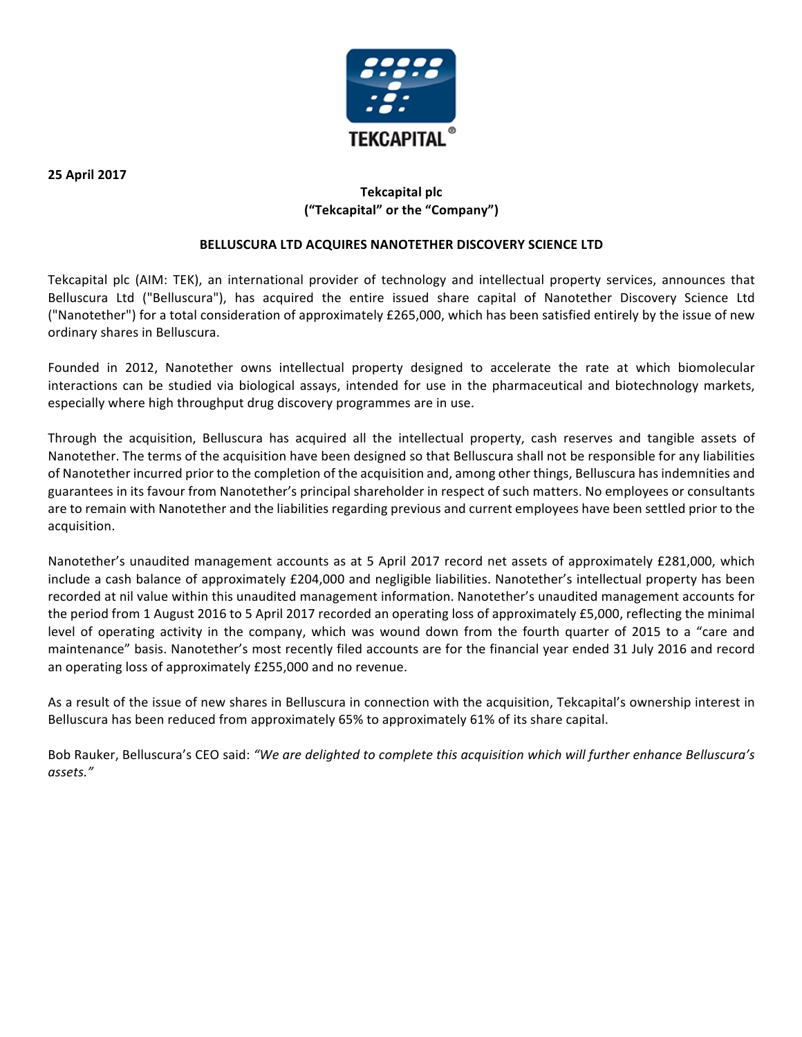

**25 April 2017**

# **Tekcapital plc ("Tekcapital" or the "Company")**

## **BELLUSCURA LTD ACQUIRES NANOTETHER DISCOVERY SCIENCE LTD**

Tekcapital plc (AIM: TEK), an international provider of technology and intellectual property services, announces that Belluscura Ltd ("Belluscura"), has acquired the entire issued share capital of Nanotether Discovery Science Ltd ("Nanotether") for a total consideration of approximately £265,000, which has been satisfied entirely by the issue of new ordinary shares in Belluscura.

Founded in 2012, Nanotether owns intellectual property designed to accelerate the rate at which biomolecular interactions can be studied via biological assays, intended for use in the pharmaceutical and biotechnology markets, especially where high throughput drug discovery programmes are in use.

Through the acquisition, Belluscura has acquired all the intellectual property, cash reserves and tangible assets of Nanotether. The terms of the acquisition have been designed so that Belluscura shall not be responsible for any liabilities of Nanotether incurred prior to the completion of the acquisition and, among other things, Belluscura has indemnities and guarantees in its favour from Nanotether's principal shareholder in respect of such matters. No employees or consultants are to remain with Nanotether and the liabilities regarding previous and current employees have been settled prior to the acquisition.

Nanotether's unaudited management accounts as at 5 April 2017 record net assets of approximately £281,000, which include a cash balance of approximately £204,000 and negligible liabilities. Nanotether's intellectual property has been recorded at nil value within this unaudited management information. Nanotether's unaudited management accounts for the period from 1 August 2016 to 5 April 2017 recorded an operating loss of approximately  $£5,000$ , reflecting the minimal level of operating activity in the company, which was wound down from the fourth quarter of 2015 to a "care and maintenance" basis. Nanotether's most recently filed accounts are for the financial year ended 31 July 2016 and record an operating loss of approximately £255,000 and no revenue.

As a result of the issue of new shares in Belluscura in connection with the acquisition, Tekcapital's ownership interest in Belluscura has been reduced from approximately 65% to approximately 61% of its share capital.

Bob Rauker, Belluscura's CEO said: "We are delighted to complete this acquisition which will further enhance Belluscura's *assets."*